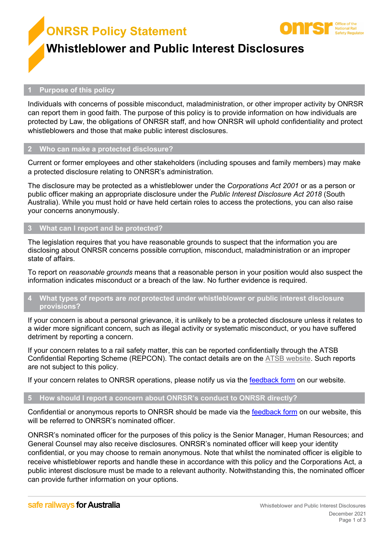**ONRSR Policy Statement**



# **Whistleblower and Public Interest Disclosures**

### **1 Purpose of this policy**

Individuals with concerns of possible misconduct, maladministration, or other improper activity by ONRSR can report them in good faith. The purpose of this policy is to provide information on how individuals are protected by Law, the obligations of ONRSR staff, and how ONRSR will uphold confidentiality and protect whistleblowers and those that make public interest disclosures.

#### **2 Who can make a protected disclosure?**

Current or former employees and other stakeholders (including spouses and family members) may make a protected disclosure relating to ONRSR's administration.

The disclosure may be protected as a whistleblower under the *Corporations Act 2001* or as a person or public officer making an appropriate disclosure under the *Public Interest Disclosure Act 2018* (South Australia). While you must hold or have held certain roles to access the protections, you can also raise your concerns anonymously.

#### **3 What can I report and be protected?**

The legislation requires that you have reasonable grounds to suspect that the information you are disclosing about ONRSR concerns possible corruption, misconduct, maladministration or an improper state of affairs.

To report on *reasonable grounds* means that a reasonable person in your position would also suspect the information indicates misconduct or a breach of the law. No further evidence is required.

#### **4 What types of reports are** *not* **protected under whistleblower or public interest disclosure provisions?**

If your concern is about a personal grievance, it is unlikely to be a protected disclosure unless it relates to a wider more significant concern, such as illegal activity or systematic misconduct, or you have suffered detriment by reporting a concern.

If your concern relates to a rail safety matter, this can be reported confidentially through the ATSB Confidential Reporting Scheme (REPCON). The contact details are on the [ATSB website.](http://www.atsb.gov.au/mandatory/rail.aspx) Such reports are not subject to this policy.

If your concern relates to ONRSR operations, please notify us via the [feedback form](https://www.onrsr.com.au/contact-us) on our website.

## **5 How should I report a concern about ONRSR's conduct to ONRSR directly?**

Confidential or anonymous reports to ONRSR should be made via the [feedback](https://www.onrsr.com.au/contact-us) form on our website, this will be referred to ONRSR's nominated officer.

ONRSR's nominated officer for the purposes of this policy is the Senior Manager, Human Resources; and General Counsel may also receive disclosures. ONRSR's nominated officer will keep your identity confidential, or you may choose to remain anonymous. Note that whilst the nominated officer is eligible to receive whistleblower reports and handle these in accordance with this policy and the Corporations Act, a public interest disclosure must be made to a relevant authority. Notwithstanding this, the nominated officer can provide further information on your options.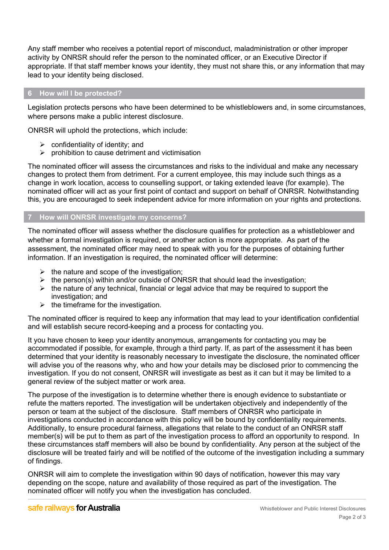Any staff member who receives a potential report of misconduct, maladministration or other improper activity by ONRSR should refer the person to the nominated officer, or an Executive Director if appropriate. If that staff member knows your identity, they must not share this, or any information that may lead to your identity being disclosed.

## **6 How will I be protected?**

Legislation protects persons who have been determined to be whistleblowers and, in some circumstances, where persons make a public interest disclosure.

ONRSR will uphold the protections, which include:

- $\triangleright$  confidentiality of identity; and
- $\triangleright$  prohibition to cause detriment and victimisation

The nominated officer will assess the circumstances and risks to the individual and make any necessary changes to protect them from detriment. For a current employee, this may include such things as a change in work location, access to counselling support, or taking extended leave (for example). The nominated officer will act as your first point of contact and support on behalf of ONRSR. Notwithstanding this, you are encouraged to seek independent advice for more information on your rights and protections.

## **7 How will ONRSR investigate my concerns?**

The nominated officer will assess whether the disclosure qualifies for protection as a whistleblower and whether a formal investigation is required, or another action is more appropriate. As part of the assessment, the nominated officer may need to speak with you for the purposes of obtaining further information. If an investigation is required, the nominated officer will determine:

- $\triangleright$  the nature and scope of the investigation;
- $\triangleright$  the person(s) within and/or outside of ONRSR that should lead the investigation;
- $\triangleright$  the nature of any technical, financial or legal advice that may be required to support the investigation; and
- $\triangleright$  the timeframe for the investigation.

The nominated officer is required to keep any information that may lead to your identification confidential and will establish secure record-keeping and a process for contacting you.

It you have chosen to keep your identity anonymous, arrangements for contacting you may be accommodated if possible, for example, through a third party. If, as part of the assessment it has been determined that your identity is reasonably necessary to investigate the disclosure, the nominated officer will advise you of the reasons why, who and how your details may be disclosed prior to commencing the investigation. If you do not consent, ONRSR will investigate as best as it can but it may be limited to a general review of the subject matter or work area.

The purpose of the investigation is to determine whether there is enough evidence to substantiate or refute the matters reported. The investigation will be undertaken objectively and independently of the person or team at the subject of the disclosure. Staff members of ONRSR who participate in investigations conducted in accordance with this policy will be bound by confidentiality requirements. Additionally, to ensure procedural fairness, allegations that relate to the conduct of an ONRSR staff member(s) will be put to them as part of the investigation process to afford an opportunity to respond. In these circumstances staff members will also be bound by confidentiality. Any person at the subject of the disclosure will be treated fairly and will be notified of the outcome of the investigation including a summary of findings.

ONRSR will aim to complete the investigation within 90 days of notification, however this may vary depending on the scope, nature and availability of those required as part of the investigation. The nominated officer will notify you when the investigation has concluded.